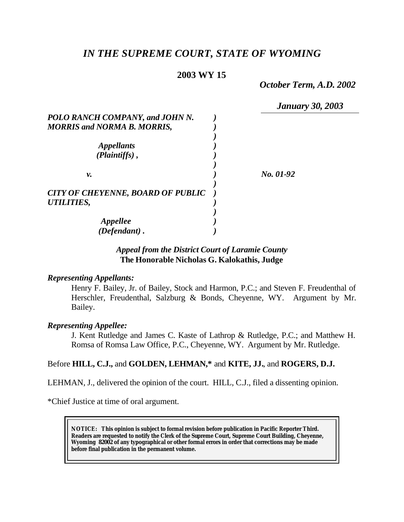# *IN THE SUPREME COURT, STATE OF WYOMING*

# **2003 WY 15**

*October Term, A.D. 2002*

*January 30, 2003*

| POLO RANCH COMPANY, and JOHN N.          |           |
|------------------------------------------|-----------|
| <b>MORRIS and NORMA B. MORRIS,</b>       |           |
|                                          |           |
| <i>Appellants</i>                        |           |
| (Plaintiffs),                            |           |
|                                          |           |
| ν.                                       | No. 01-92 |
|                                          |           |
| <b>CITY OF CHEYENNE, BOARD OF PUBLIC</b> |           |
| UTILITIES,                               |           |
|                                          |           |
| Appellee                                 |           |
| $(Defendant)$ .                          |           |

# *Appeal from the District Court of Laramie County* **The Honorable Nicholas G. Kalokathis, Judge**

### *Representing Appellants:*

Henry F. Bailey, Jr. of Bailey, Stock and Harmon, P.C.; and Steven F. Freudenthal of Herschler, Freudenthal, Salzburg & Bonds, Cheyenne, WY. Argument by Mr. Bailey.

#### *Representing Appellee:*

J. Kent Rutledge and James C. Kaste of Lathrop & Rutledge, P.C.; and Matthew H. Romsa of Romsa Law Office, P.C., Cheyenne, WY. Argument by Mr. Rutledge.

# Before **HILL, C.J.,** and **GOLDEN, LEHMAN,\*** and **KITE, JJ.**, and **ROGERS, D.J.**

LEHMAN, J., delivered the opinion of the court. HILL, C.J., filed a dissenting opinion.

\*Chief Justice at time of oral argument.

**NOTICE:** *This opinion is subject to formal revision before publication in Pacific Reporter Third. Readers are requested to notify the Clerk of the Supreme Court, Supreme Court Building, Cheyenne, Wyoming 82002 of any typographical or other formal errors in order that corrections may be made before final publication in the permanent volume.*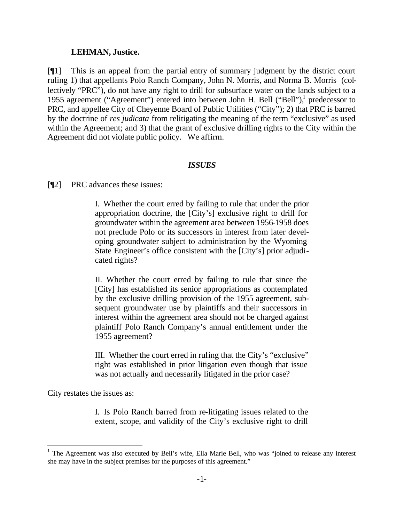#### **LEHMAN, Justice.**

[¶1] This is an appeal from the partial entry of summary judgment by the district court ruling 1) that appellants Polo Ranch Company, John N. Morris, and Norma B. Morris (collectively "PRC"), do not have any right to drill for subsurface water on the lands subject to a 1955 agreement ("Agreement") entered into between John H. Bell ("Bell"),<sup>1</sup> predecessor to PRC, and appellee City of Cheyenne Board of Public Utilities ("City"); 2) that PRC is barred by the doctrine of *res judicata* from relitigating the meaning of the term "exclusive" as used within the Agreement; and 3) that the grant of exclusive drilling rights to the City within the Agreement did not violate public policy. We affirm.

#### *ISSUES*

[¶2] PRC advances these issues:

I. Whether the court erred by failing to rule that under the prior appropriation doctrine, the [City's] exclusive right to drill for groundwater within the agreement area between 1956-1958 does not preclude Polo or its successors in interest from later developing groundwater subject to administration by the Wyoming State Engineer's office consistent with the [City's] prior adjudicated rights?

II. Whether the court erred by failing to rule that since the [City] has established its senior appropriations as contemplated by the exclusive drilling provision of the 1955 agreement, subsequent groundwater use by plaintiffs and their successors in interest within the agreement area should not be charged against plaintiff Polo Ranch Company's annual entitlement under the 1955 agreement?

III. Whether the court erred in ruling that the City's "exclusive" right was established in prior litigation even though that issue was not actually and necessarily litigated in the prior case?

City restates the issues as:

l

I. Is Polo Ranch barred from re-litigating issues related to the extent, scope, and validity of the City's exclusive right to drill

<sup>&</sup>lt;sup>1</sup> The Agreement was also executed by Bell's wife, Ella Marie Bell, who was "joined to release any interest she may have in the subject premises for the purposes of this agreement."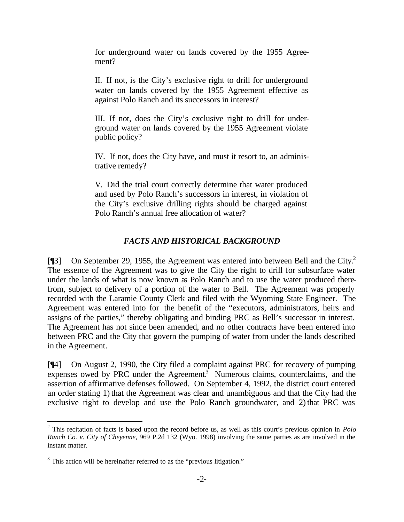for underground water on lands covered by the 1955 Agreement?

II. If not, is the City's exclusive right to drill for underground water on lands covered by the 1955 Agreement effective as against Polo Ranch and its successors in interest?

III. If not, does the City's exclusive right to drill for underground water on lands covered by the 1955 Agreement violate public policy?

IV. If not, does the City have, and must it resort to, an administrative remedy?

V. Did the trial court correctly determine that water produced and used by Polo Ranch's successors in interest, in violation of the City's exclusive drilling rights should be charged against Polo Ranch's annual free allocation of water?

# *FACTS AND HISTORICAL BACKGROUND*

[ $[$ ] On September 29, 1955, the Agreement was entered into between Bell and the City.<sup>2</sup> The essence of the Agreement was to give the City the right to drill for subsurface water under the lands of what is now known as Polo Ranch and to use the water produced therefrom, subject to delivery of a portion of the water to Bell. The Agreement was properly recorded with the Laramie County Clerk and filed with the Wyoming State Engineer. The Agreement was entered into for the benefit of the "executors, administrators, heirs and assigns of the parties," thereby obligating and binding PRC as Bell's successor in interest. The Agreement has not since been amended, and no other contracts have been entered into between PRC and the City that govern the pumping of water from under the lands described in the Agreement.

[¶4] On August 2, 1990, the City filed a complaint against PRC for recovery of pumping expenses owed by PRC under the Agreement.<sup>3</sup> Numerous claims, counterclaims, and the assertion of affirmative defenses followed. On September 4, 1992, the district court entered an order stating 1) that the Agreement was clear and unambiguous and that the City had the exclusive right to develop and use the Polo Ranch groundwater, and 2) that PRC was

l

<sup>2</sup> This recitation of facts is based upon the record before us, as well as this court's previous opinion in *Polo Ranch Co. v. City of Cheyenne*, 969 P.2d 132 (Wyo. 1998) involving the same parties as are involved in the instant matter.

 $3$  This action will be hereinafter referred to as the "previous litigation."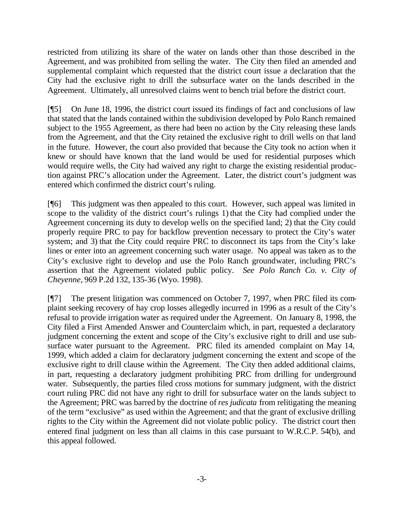restricted from utilizing its share of the water on lands other than those described in the Agreement, and was prohibited from selling the water. The City then filed an amended and supplemental complaint which requested that the district court issue a declaration that the City had the exclusive right to drill the subsurface water on the lands described in the Agreement. Ultimately, all unresolved claims went to bench trial before the district court.

[¶5] On June 18, 1996, the district court issued its findings of fact and conclusions of law that stated that the lands contained within the subdivision developed by Polo Ranch remained subject to the 1955 Agreement, as there had been no action by the City releasing these lands from the Agreement, and that the City retained the exclusive right to drill wells on that land in the future. However, the court also provided that because the City took no action when it knew or should have known that the land would be used for residential purposes which would require wells, the City had waived any right to charge the existing residential production against PRC's allocation under the Agreement. Later, the district court's judgment was entered which confirmed the district court's ruling.

[¶6] This judgment was then appealed to this court. However, such appeal was limited in scope to the validity of the district court's rulings 1) that the City had complied under the Agreement concerning its duty to develop wells on the specified land; 2) that the City could properly require PRC to pay for backflow prevention necessary to protect the City's water system; and 3) that the City could require PRC to disconnect its taps from the City's lake lines or enter into an agreement concerning such water usage. No appeal was taken as to the City's exclusive right to develop and use the Polo Ranch groundwater, including PRC's assertion that the Agreement violated public policy. *See Polo Ranch Co. v. City of Cheyenne*, 969 P.2d 132, 135-36 (Wyo. 1998).

[¶7] The present litigation was commenced on October 7, 1997, when PRC filed its complaint seeking recovery of hay crop losses allegedly incurred in 1996 as a result of the City's refusal to provide irrigation water as required under the Agreement. On January 8, 1998, the City filed a First Amended Answer and Counterclaim which, in part, requested a declaratory judgment concerning the extent and scope of the City's exclusive right to drill and use subsurface water pursuant to the Agreement. PRC filed its amended complaint on May 14, 1999, which added a claim for declaratory judgment concerning the extent and scope of the exclusive right to drill clause within the Agreement. The City then added additional claims, in part, requesting a declaratory judgment prohibiting PRC from drilling for underground water. Subsequently, the parties filed cross motions for summary judgment, with the district court ruling PRC did not have any right to drill for subsurface water on the lands subject to the Agreement; PRC was barred by the doctrine of *res judicata* from relitigating the meaning of the term "exclusive" as used within the Agreement; and that the grant of exclusive drilling rights to the City within the Agreement did not violate public policy. The district court then entered final judgment on less than all claims in this case pursuant to W.R.C.P. 54(b), and this appeal followed.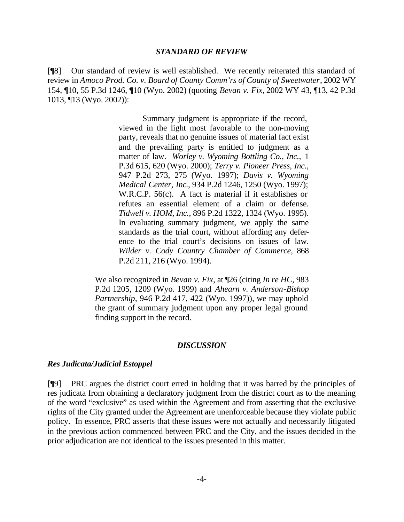#### *STANDARD OF REVIEW*

[¶8] Our standard of review is well established. We recently reiterated this standard of review in *Amoco Prod. Co. v. Board of County Comm'rs of County of Sweetwater*, 2002 WY 154, ¶10, 55 P.3d 1246, ¶10 (Wyo. 2002) (quoting *Bevan v. Fix,* 2002 WY 43, ¶13, 42 P.3d 1013, ¶13 (Wyo. 2002)):

> Summary judgment is appropriate if the record, viewed in the light most favorable to the non-moving party, reveals that no genuine issues of material fact exist and the prevailing party is entitled to judgment as a matter of law. *Worley v. Wyoming Bottling Co., Inc.,* 1 P.3d 615, 620 (Wyo. 2000); *Terry v. Pioneer Press, Inc.,* 947 P.2d 273, 275 (Wyo. 1997); *Davis v. Wyoming Medical Center, Inc*., 934 P.2d 1246, 1250 (Wyo. 1997); W.R.C.P. 56(c). A fact is material if it establishes or refutes an essential element of a claim or defense. *Tidwell v. HOM, Inc.*, 896 P.2d 1322, 1324 (Wyo. 1995). In evaluating summary judgment, we apply the same standards as the trial court, without affording any deference to the trial court's decisions on issues of law. *Wilder v. Cody Country Chamber of Commerce,* 868 P.2d 211, 216 (Wyo. 1994).

We also recognized in *Bevan v. Fix*, at ¶26 (citing *In re HC,* 983 P.2d 1205, 1209 (Wyo. 1999) and *Ahearn v. Anderson-Bishop Partnership*, 946 P.2d 417, 422 (Wyo. 1997)), we may uphold the grant of summary judgment upon any proper legal ground finding support in the record.

### *DISCUSSION*

#### *Res Judicata/Judicial Estoppel*

[¶9] PRC argues the district court erred in holding that it was barred by the principles of res judicata from obtaining a declaratory judgment from the district court as to the meaning of the word "exclusive" as used within the Agreement and from asserting that the exclusive rights of the City granted under the Agreement are unenforceable because they violate public policy. In essence, PRC asserts that these issues were not actually and necessarily litigated in the previous action commenced between PRC and the City, and the issues decided in the prior adjudication are not identical to the issues presented in this matter.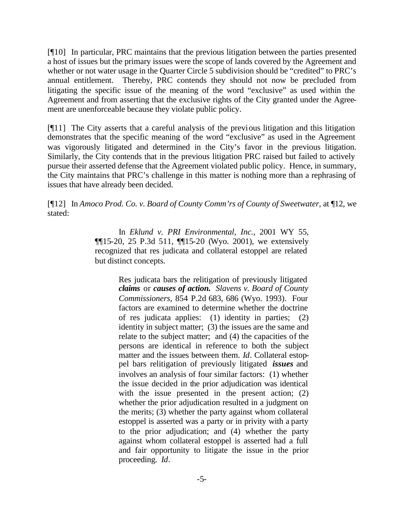[¶10] In particular, PRC maintains that the previous litigation between the parties presented a host of issues but the primary issues were the scope of lands covered by the Agreement and whether or not water usage in the Quarter Circle 5 subdivision should be "credited" to PRC's annual entitlement. Thereby, PRC contends they should not now be precluded from litigating the specific issue of the meaning of the word "exclusive" as used within the Agreement and from asserting that the exclusive rights of the City granted under the Agreement are unenforceable because they violate public policy.

[¶11] The City asserts that a careful analysis of the previous litigation and this litigation demonstrates that the specific meaning of the word "exclusive" as used in the Agreement was vigorously litigated and determined in the City's favor in the previous litigation. Similarly, the City contends that in the previous litigation PRC raised but failed to actively pursue their asserted defense that the Agreement violated public policy. Hence, in summary, the City maintains that PRC's challenge in this matter is nothing more than a rephrasing of issues that have already been decided.

[¶12] In *Amoco Prod. Co. v. Board of County Comm'rs of County of Sweetwater*, at ¶12, we stated:

> In *Eklund v. PRI Environmental, Inc.*, 2001 WY 55, ¶¶15-20, 25 P.3d 511, ¶¶15-20 (Wyo. 2001), we extensively recognized that res judicata and collateral estoppel are related but distinct concepts.

> > Res judicata bars the relitigation of previously litigated *claims* or *causes of action. Slavens v. Board of County Commissioners*, 854 P.2d 683, 686 (Wyo. 1993). Four factors are examined to determine whether the doctrine of res judicata applies: (1) identity in parties; (2) identity in subject matter; (3) the issues are the same and relate to the subject matter; and (4) the capacities of the persons are identical in reference to both the subject matter and the issues between them. *Id*. Collateral estoppel bars relitigation of previously litigated *issues* and involves an analysis of four similar factors: (1) whether the issue decided in the prior adjudication was identical with the issue presented in the present action; (2) whether the prior adjudication resulted in a judgment on the merits; (3) whether the party against whom collateral estoppel is asserted was a party or in privity with a party to the prior adjudication; and (4) whether the party against whom collateral estoppel is asserted had a full and fair opportunity to litigate the issue in the prior proceeding. *Id*.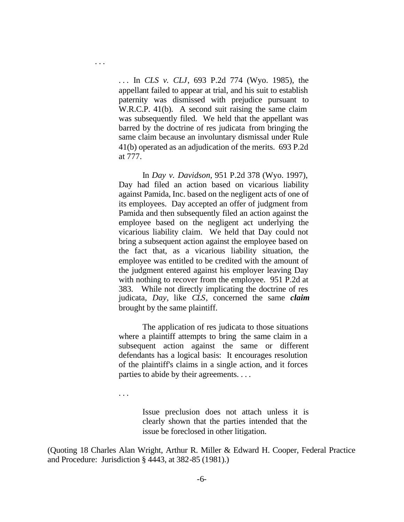. . . In *CLS v. CLJ*, 693 P.2d 774 (Wyo. 1985), the appellant failed to appear at trial, and his suit to establish paternity was dismissed with prejudice pursuant to W.R.C.P. 41(b). A second suit raising the same claim was subsequently filed. We held that the appellant was barred by the doctrine of res judicata from bringing the same claim because an involuntary dismissal under Rule 41(b) operated as an adjudication of the merits. 693 P.2d at 777.

In *Day v. Davidson*, 951 P.2d 378 (Wyo. 1997), Day had filed an action based on vicarious liability against Pamida, Inc. based on the negligent acts of one of its employees. Day accepted an offer of judgment from Pamida and then subsequently filed an action against the employee based on the negligent act underlying the vicarious liability claim. We held that Day could not bring a subsequent action against the employee based on the fact that, as a vicarious liability situation, the employee was entitled to be credited with the amount of the judgment entered against his employer leaving Day with nothing to recover from the employee. 951 P.2d at 383. While not directly implicating the doctrine of res judicata, *Day*, like *CLS*, concerned the same *claim* brought by the same plaintiff.

The application of res judicata to those situations where a plaintiff attempts to bring the same claim in a subsequent action against the same or different defendants has a logical basis: It encourages resolution of the plaintiff's claims in a single action, and it forces parties to abide by their agreements. . . .

. . .

. . .

Issue preclusion does not attach unless it is clearly shown that the parties intended that the issue be foreclosed in other litigation.

(Quoting 18 Charles Alan Wright, Arthur R. Miller & Edward H. Cooper, Federal Practice and Procedure: Jurisdiction § 4443, at 382-85 (1981).)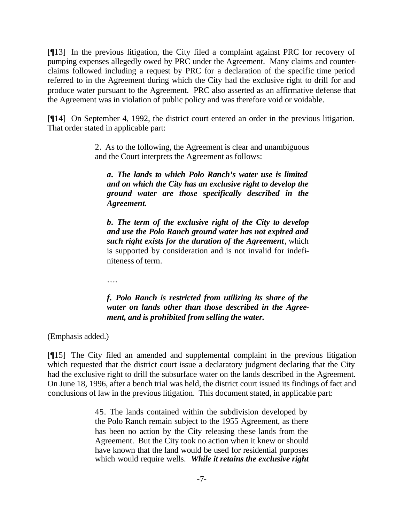[¶13] In the previous litigation, the City filed a complaint against PRC for recovery of pumping expenses allegedly owed by PRC under the Agreement. Many claims and counterclaims followed including a request by PRC for a declaration of the specific time period referred to in the Agreement during which the City had the exclusive right to drill for and produce water pursuant to the Agreement. PRC also asserted as an affirmative defense that the Agreement was in violation of public policy and was therefore void or voidable.

[¶14] On September 4, 1992, the district court entered an order in the previous litigation. That order stated in applicable part:

> 2. As to the following, the Agreement is clear and unambiguous and the Court interprets the Agreement as follows:

*a. The lands to which Polo Ranch's water use is limited and on which the City has an exclusive right to develop the ground water are those specifically described in the Agreement.*

*b. The term of the exclusive right of the City to develop and use the Polo Ranch ground water has not expired and such right exists for the duration of the Agreement*, which is supported by consideration and is not invalid for indefiniteness of term.

….

# *f. Polo Ranch is restricted from utilizing its share of the water on lands other than those described in the Agreement, and is prohibited from selling the water.*

(Emphasis added.)

[¶15] The City filed an amended and supplemental complaint in the previous litigation which requested that the district court issue a declaratory judgment declaring that the City had the exclusive right to drill the subsurface water on the lands described in the Agreement. On June 18, 1996, after a bench trial was held, the district court issued its findings of fact and conclusions of law in the previous litigation. This document stated, in applicable part:

> 45. The lands contained within the subdivision developed by the Polo Ranch remain subject to the 1955 Agreement, as there has been no action by the City releasing these lands from the Agreement. But the City took no action when it knew or should have known that the land would be used for residential purposes which would require wells. *While it retains the exclusive right*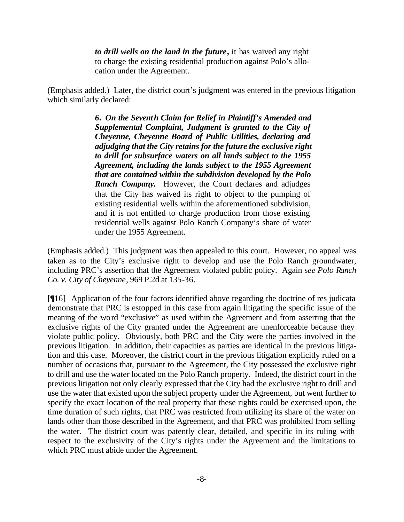*to drill wells on the land in the future***,** it has waived any right to charge the existing residential production against Polo's allocation under the Agreement.

(Emphasis added.) Later, the district court's judgment was entered in the previous litigation which similarly declared:

> *6. On the Seventh Claim for Relief in Plaintiff's Amended and Supplemental Complaint, Judgment is granted to the City of Cheyenne, Cheyenne Board of Public Utilities, declaring and adjudging that the City retains for the future the exclusive right to drill for subsurface waters on all lands subject to the 1955 Agreement, including the lands subject to the 1955 Agreement that are contained within the subdivision developed by the Polo Ranch Company.* However, the Court declares and adjudges that the City has waived its right to object to the pumping of existing residential wells within the aforementioned subdivision, and it is not entitled to charge production from those existing residential wells against Polo Ranch Company's share of water under the 1955 Agreement.

(Emphasis added.) This judgment was then appealed to this court. However, no appeal was taken as to the City's exclusive right to develop and use the Polo Ranch groundwater, including PRC's assertion that the Agreement violated public policy. Again s*ee Polo Ranch Co. v. City of Cheyenne*, 969 P.2d at 135-36.

[¶16] Application of the four factors identified above regarding the doctrine of res judicata demonstrate that PRC is estopped in this case from again litigating the specific issue of the meaning of the word "exclusive" as used within the Agreement and from asserting that the exclusive rights of the City granted under the Agreement are unenforceable because they violate public policy. Obviously, both PRC and the City were the parties involved in the previous litigation. In addition, their capacities as parties are identical in the previous litigation and this case. Moreover, the district court in the previous litigation explicitly ruled on a number of occasions that, pursuant to the Agreement, the City possessed the exclusive right to drill and use the water located on the Polo Ranch property. Indeed, the district court in the previous litigation not only clearly expressed that the City had the exclusive right to drill and use the water that existed upon the subject property under the Agreement, but went further to specify the exact location of the real property that these rights could be exercised upon, the time duration of such rights, that PRC was restricted from utilizing its share of the water on lands other than those described in the Agreement, and that PRC was prohibited from selling the water. The district court was patently clear, detailed, and specific in its ruling with respect to the exclusivity of the City's rights under the Agreement and the limitations to which PRC must abide under the Agreement.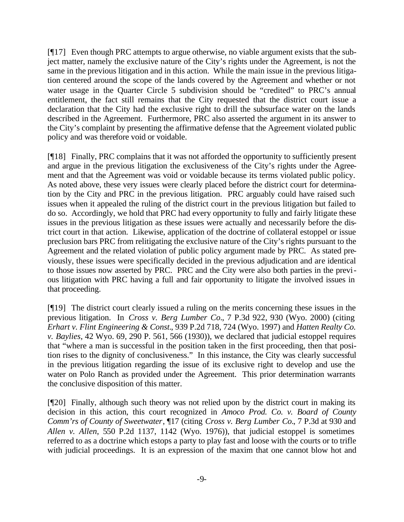[¶17] Even though PRC attempts to argue otherwise, no viable argument exists that the subject matter, namely the exclusive nature of the City's rights under the Agreement, is not the same in the previous litigation and in this action. While the main issue in the previous litigation centered around the scope of the lands covered by the Agreement and whether or not water usage in the Quarter Circle 5 subdivision should be "credited" to PRC's annual entitlement, the fact still remains that the City requested that the district court issue a declaration that the City had the exclusive right to drill the subsurface water on the lands described in the Agreement. Furthermore, PRC also asserted the argument in its answer to the City's complaint by presenting the affirmative defense that the Agreement violated public policy and was therefore void or voidable.

[¶18] Finally, PRC complains that it was not afforded the opportunity to sufficiently present and argue in the previous litigation the exclusiveness of the City's rights under the Agreement and that the Agreement was void or voidable because its terms violated public policy. As noted above, these very issues were clearly placed before the district court for determination by the City and PRC in the previous litigation. PRC arguably could have raised such issues when it appealed the ruling of the district court in the previous litigation but failed to do so. Accordingly, we hold that PRC had every opportunity to fully and fairly litigate these issues in the previous litigation as these issues were actually and necessarily before the district court in that action. Likewise, application of the doctrine of collateral estoppel or issue preclusion bars PRC from relitigating the exclusive nature of the City's rights pursuant to the Agreement and the related violation of public policy argument made by PRC. As stated previously, these issues were specifically decided in the previous adjudication and are identical to those issues now asserted by PRC. PRC and the City were also both parties in the previous litigation with PRC having a full and fair opportunity to litigate the involved issues in that proceeding.

[¶19] The district court clearly issued a ruling on the merits concerning these issues in the previous litigation. In *Cross v. Berg Lumber Co.*, 7 P.3d 922, 930 (Wyo. 2000) (citing *Erhart v. Flint Engineering & Const.*, 939 P.2d 718, 724 (Wyo. 1997) and *Hatten Realty Co. v. Baylies*, 42 Wyo. 69, 290 P. 561, 566 (1930)), we declared that judicial estoppel requires that "where a man is successful in the position taken in the first proceeding, then that position rises to the dignity of conclusiveness." In this instance, the City was clearly successful in the previous litigation regarding the issue of its exclusive right to develop and use the water on Polo Ranch as provided under the Agreement. This prior determination warrants the conclusive disposition of this matter.

[¶20] Finally, although such theory was not relied upon by the district court in making its decision in this action, this court recognized in *Amoco Prod. Co. v. Board of County Comm'rs of County of Sweetwater*, ¶17 (citing *Cross v. Berg Lumber Co.*, 7 P.3d at 930 and *Allen v. Allen*, 550 P.2d 1137, 1142 (Wyo. 1976)), that judicial estoppel is sometimes referred to as a doctrine which estops a party to play fast and loose with the courts or to trifle with judicial proceedings. It is an expression of the maxim that one cannot blow hot and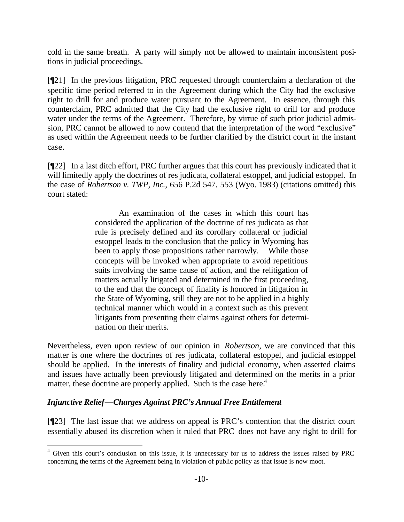cold in the same breath. A party will simply not be allowed to maintain inconsistent positions in judicial proceedings.

[¶21] In the previous litigation, PRC requested through counterclaim a declaration of the specific time period referred to in the Agreement during which the City had the exclusive right to drill for and produce water pursuant to the Agreement. In essence, through this counterclaim, PRC admitted that the City had the exclusive right to drill for and produce water under the terms of the Agreement. Therefore, by virtue of such prior judicial admission, PRC cannot be allowed to now contend that the interpretation of the word "exclusive" as used within the Agreement needs to be further clarified by the district court in the instant case.

[¶22] In a last ditch effort, PRC further argues that this court has previously indicated that it will limitedly apply the doctrines of res judicata, collateral estoppel, and judicial estoppel. In the case of *Robertson v. TWP, Inc.*, 656 P.2d 547, 553 (Wyo. 1983) (citations omitted) this court stated:

> An examination of the cases in which this court has considered the application of the doctrine of res judicata as that rule is precisely defined and its corollary collateral or judicial estoppel leads to the conclusion that the policy in Wyoming has been to apply those propositions rather narrowly. While those concepts will be invoked when appropriate to avoid repetitious suits involving the same cause of action, and the relitigation of matters actually litigated and determined in the first proceeding, to the end that the concept of finality is honored in litigation in the State of Wyoming, still they are not to be applied in a highly technical manner which would in a context such as this prevent litigants from presenting their claims against others for determination on their merits.

Nevertheless, even upon review of our opinion in *Robertson*, we are convinced that this matter is one where the doctrines of res judicata, collateral estoppel, and judicial estoppel should be applied. In the interests of finality and judicial economy, when asserted claims and issues have actually been previously litigated and determined on the merits in a prior matter, these doctrine are properly applied. Such is the case here.<sup>4</sup>

# *Injunctive Relief—Charges Against PRC's Annual Free Entitlement*

l

[¶23] The last issue that we address on appeal is PRC's contention that the district court essentially abused its discretion when it ruled that PRC does not have any right to drill for

<sup>&</sup>lt;sup>4</sup> Given this court's conclusion on this issue, it is unnecessary for us to address the issues raised by PRC concerning the terms of the Agreement being in violation of public policy as that issue is now moot.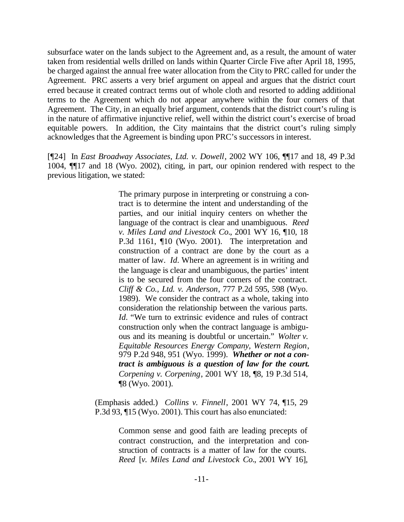subsurface water on the lands subject to the Agreement and, as a result, the amount of water taken from residential wells drilled on lands within Quarter Circle Five after April 18, 1995, be charged against the annual free water allocation from the City to PRC called for under the Agreement. PRC asserts a very brief argument on appeal and argues that the district court erred because it created contract terms out of whole cloth and resorted to adding additional terms to the Agreement which do not appear anywhere within the four corners of that Agreement. The City, in an equally brief argument, contends that the district court's ruling is in the nature of affirmative injunctive relief, well within the district court's exercise of broad equitable powers. In addition, the City maintains that the district court's ruling simply acknowledges that the Agreement is binding upon PRC's successors in interest.

[¶24] In *East Broadway Associates, Ltd. v. Dowell*, 2002 WY 106, ¶¶17 and 18, 49 P.3d 1004, ¶¶17 and 18 (Wyo. 2002), citing, in part, our opinion rendered with respect to the previous litigation, we stated:

> The primary purpose in interpreting or construing a contract is to determine the intent and understanding of the parties, and our initial inquiry centers on whether the language of the contract is clear and unambiguous. *Reed v. Miles Land and Livestock Co.*, 2001 WY 16, ¶10, 18 P.3d 1161, ¶10 (Wyo. 2001). The interpretation and construction of a contract are done by the court as a matter of law. *Id*. Where an agreement is in writing and the language is clear and unambiguous, the parties' intent is to be secured from the four corners of the contract. *Cliff & Co., Ltd. v. Anderson*, 777 P.2d 595, 598 (Wyo. 1989). We consider the contract as a whole, taking into consideration the relationship between the various parts. *Id.* "We turn to extrinsic evidence and rules of contract construction only when the contract language is ambiguous and its meaning is doubtful or uncertain." *Wolter v. Equitable Resources Energy Company, Western Region*, 979 P.2d 948, 951 (Wyo. 1999). *Whether or not a contract is ambiguous is a question of law for the court. Corpening v. Corpening*, 2001 WY 18, ¶8, 19 P.3d 514, ¶8 (Wyo. 2001).

(Emphasis added.) *Collins v. Finnell*, 2001 WY 74, ¶15, 29 P.3d 93, ¶15 (Wyo. 2001). This court has also enunciated:

> Common sense and good faith are leading precepts of contract construction, and the interpretation and construction of contracts is a matter of law for the courts. *Reed* [*v. Miles Land and Livestock Co.*, 2001 WY 16],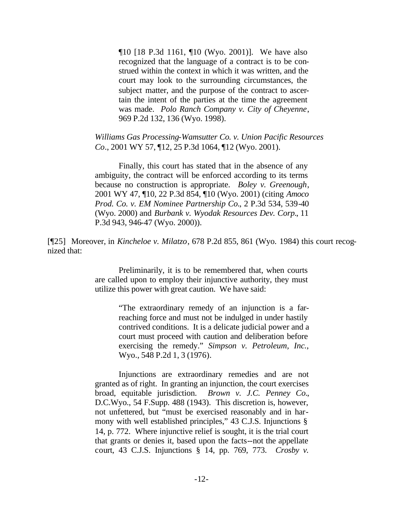¶10 [18 P.3d 1161, ¶10 (Wyo. 2001)]. We have also recognized that the language of a contract is to be construed within the context in which it was written, and the court may look to the surrounding circumstances, the subject matter, and the purpose of the contract to ascertain the intent of the parties at the time the agreement was made. *Polo Ranch Company v. City of Cheyenne*, 969 P.2d 132, 136 (Wyo. 1998).

*Williams Gas Processing-Wamsutter Co. v. Union Pacific Resources Co.*, 2001 WY 57, ¶12, 25 P.3d 1064, ¶12 (Wyo. 2001).

Finally, this court has stated that in the absence of any ambiguity, the contract will be enforced according to its terms because no construction is appropriate. *Boley v. Greenough*, 2001 WY 47, ¶10, 22 P.3d 854, ¶10 (Wyo. 2001) (citing *Amoco Prod. Co. v. EM Nominee Partnership Co.*, 2 P.3d 534, 539-40 (Wyo. 2000) and *Burbank v. Wyodak Resources Dev. Corp.*, 11 P.3d 943, 946-47 (Wyo. 2000)).

[¶25] Moreover, in *Kincheloe v. Milatzo*, 678 P.2d 855, 861 (Wyo. 1984) this court recognized that:

> Preliminarily, it is to be remembered that, when courts are called upon to employ their injunctive authority, they must utilize this power with great caution. We have said:

> > "The extraordinary remedy of an injunction is a farreaching force and must not be indulged in under hastily contrived conditions. It is a delicate judicial power and a court must proceed with caution and deliberation before exercising the remedy." *Simpson v. Petroleum, Inc.*, Wyo., 548 P.2d 1, 3 (1976).

Injunctions are extraordinary remedies and are not granted as of right. In granting an injunction, the court exercises broad, equitable jurisdiction. *Brown v. J.C. Penney Co.*, D.C.Wyo., 54 F.Supp. 488 (1943). This discretion is, however, not unfettered, but "must be exercised reasonably and in harmony with well established principles," 43 C.J.S. Injunctions § 14, p. 772. Where injunctive relief is sought, it is the trial court that grants or denies it, based upon the facts--not the appellate court, 43 C.J.S. Injunctions § 14, pp. 769, 773. *Crosby v.*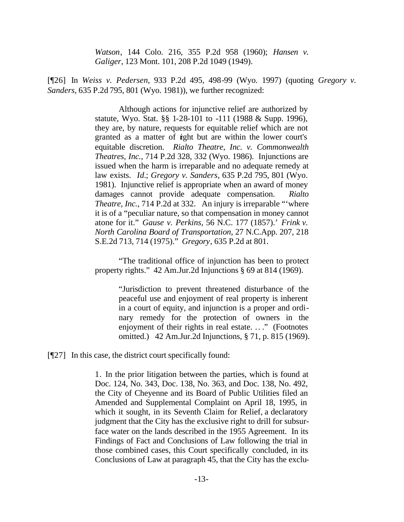*Watson*, 144 Colo. 216, 355 P.2d 958 (1960); *Hansen v. Galiger*, 123 Mont. 101, 208 P.2d 1049 (1949).

[¶26] In *Weiss v. Pedersen*, 933 P.2d 495, 498-99 (Wyo. 1997) (quoting *Gregory v. Sanders*, 635 P.2d 795, 801 (Wyo. 1981)), we further recognized:

> Although actions for injunctive relief are authorized by statute, Wyo. Stat. §§ 1-28-101 to -111 (1988 & Supp. 1996), they are, by nature, requests for equitable relief which are not granted as a matter of right but are within the lower court's equitable discretion. *Rialto Theatre, Inc. v. Commonwealth Theatres, Inc.*, 714 P.2d 328, 332 (Wyo. 1986). Injunctions are issued when the harm is irreparable and no adequate remedy at law exists. *Id.*; *Gregory v. Sanders*, 635 P.2d 795, 801 (Wyo. 1981). Injunctive relief is appropriate when an award of money damages cannot provide adequate compensation. *Rialto Theatre, Inc.*, 714 P.2d at 332. An injury is irreparable "'where it is of a "peculiar nature, so that compensation in money cannot atone for it." *Gause v. Perkins*, 56 N.C. 177 (1857).' *Frink v. North Carolina Board of Transportation*, 27 N.C.App. 207, 218 S.E.2d 713, 714 (1975)." *Gregory*, 635 P.2d at 801.

> "The traditional office of injunction has been to protect property rights." 42 Am.Jur.2d Injunctions § 69 at 814 (1969).

> > "Jurisdiction to prevent threatened disturbance of the peaceful use and enjoyment of real property is inherent in a court of equity, and injunction is a proper and ordinary remedy for the protection of owners in the enjoyment of their rights in real estate. .. ." (Footnotes omitted.) 42 Am.Jur.2d Injunctions, § 71, p. 815 (1969).

[¶27] In this case, the district court specifically found:

1. In the prior litigation between the parties, which is found at Doc. 124, No. 343, Doc. 138, No. 363, and Doc. 138, No. 492, the City of Cheyenne and its Board of Public Utilities filed an Amended and Supplemental Complaint on April 18, 1995, in which it sought, in its Seventh Claim for Relief, a declaratory judgment that the City has the exclusive right to drill for subsurface water on the lands described in the 1955 Agreement. In its Findings of Fact and Conclusions of Law following the trial in those combined cases, this Court specifically concluded, in its Conclusions of Law at paragraph 45, that the City has the exclu-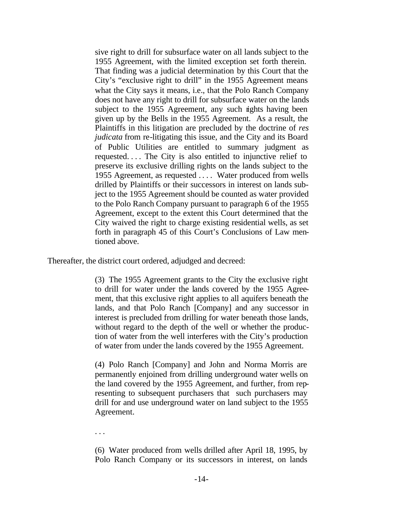sive right to drill for subsurface water on all lands subject to the 1955 Agreement, with the limited exception set forth therein. That finding was a judicial determination by this Court that the City's "exclusive right to drill" in the 1955 Agreement means what the City says it means, i.e., that the Polo Ranch Company does not have any right to drill for subsurface water on the lands subject to the 1955 Agreement, any such rights having been given up by the Bells in the 1955 Agreement. As a result, the Plaintiffs in this litigation are precluded by the doctrine of *res judicata* from re-litigating this issue, and the City and its Board of Public Utilities are entitled to summary judgment as requested. . . . The City is also entitled to injunctive relief to preserve its exclusive drilling rights on the lands subject to the 1955 Agreement, as requested . . . . Water produced from wells drilled by Plaintiffs or their successors in interest on lands subject to the 1955 Agreement should be counted as water provided to the Polo Ranch Company pursuant to paragraph 6 of the 1955 Agreement, except to the extent this Court determined that the City waived the right to charge existing residential wells, as set forth in paragraph 45 of this Court's Conclusions of Law mentioned above.

Thereafter, the district court ordered, adjudged and decreed:

(3) The 1955 Agreement grants to the City the exclusive right to drill for water under the lands covered by the 1955 Agreement, that this exclusive right applies to all aquifers beneath the lands, and that Polo Ranch [Company] and any successor in interest is precluded from drilling for water beneath those lands, without regard to the depth of the well or whether the production of water from the well interferes with the City's production of water from under the lands covered by the 1955 Agreement.

(4) Polo Ranch [Company] and John and Norma Morris are permanently enjoined from drilling underground water wells on the land covered by the 1955 Agreement, and further, from representing to subsequent purchasers that such purchasers may drill for and use underground water on land subject to the 1955 Agreement.

. . .

(6) Water produced from wells drilled after April 18, 1995, by Polo Ranch Company or its successors in interest, on lands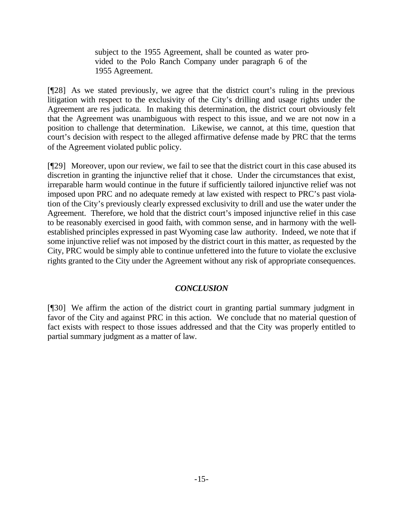subject to the 1955 Agreement, shall be counted as water provided to the Polo Ranch Company under paragraph 6 of the 1955 Agreement.

[¶28] As we stated previously, we agree that the district court's ruling in the previous litigation with respect to the exclusivity of the City's drilling and usage rights under the Agreement are res judicata. In making this determination, the district court obviously felt that the Agreement was unambiguous with respect to this issue, and we are not now in a position to challenge that determination. Likewise, we cannot, at this time, question that court's decision with respect to the alleged affirmative defense made by PRC that the terms of the Agreement violated public policy.

[¶29] Moreover, upon our review, we fail to see that the district court in this case abused its discretion in granting the injunctive relief that it chose. Under the circumstances that exist, irreparable harm would continue in the future if sufficiently tailored injunctive relief was not imposed upon PRC and no adequate remedy at law existed with respect to PRC's past violation of the City's previously clearly expressed exclusivity to drill and use the water under the Agreement. Therefore, we hold that the district court's imposed injunctive relief in this case to be reasonably exercised in good faith, with common sense, and in harmony with the wellestablished principles expressed in past Wyoming case law authority. Indeed, we note that if some injunctive relief was not imposed by the district court in this matter, as requested by the City, PRC would be simply able to continue unfettered into the future to violate the exclusive rights granted to the City under the Agreement without any risk of appropriate consequences.

# *CONCLUSION*

[¶30] We affirm the action of the district court in granting partial summary judgment in favor of the City and against PRC in this action. We conclude that no material question of fact exists with respect to those issues addressed and that the City was properly entitled to partial summary judgment as a matter of law.